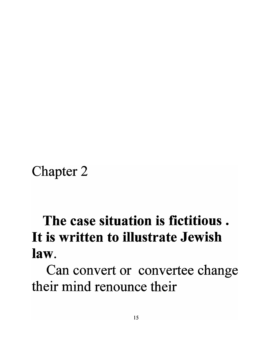Chapter 2

## **The case situation is fictitious . It is written to illustrate Jewish law.**

Can convert or convertee change their mind renounce their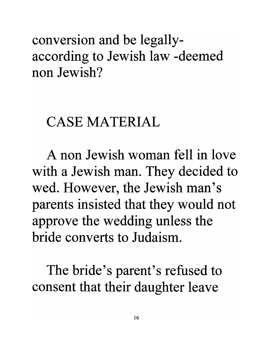conversion and be legallyaccording to Jewish law -deemed non Jewish?

## CASE MATERIAL

A non Jewish woman fell in love with a Jewish man. They decided to wed. However, the Jewish man's parents insisted that they would not approve the wedding unless the bride converts to Judaism.

The bride's parent's refused to consent that their daughter leave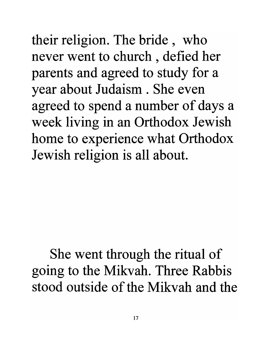their religion. The bride, who never went to church , defied her parents and agreed to study for a year about Judaism. She even agreed to spend a number of days a week living in an Orthodox Jewish home to experience what Orthodox Jewish religion is all about.

## She went through the ritual of going to the Mikvah. Three Rabbis stood outside of the Mikvah and the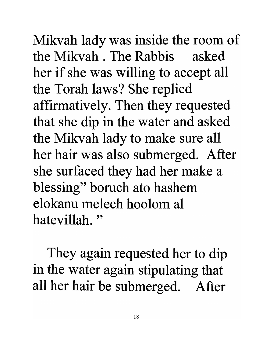Mikvah lady was inside the room of the Mikvah . The Rabbis asked her if she was willing to accept all the Torah laws? She replied affirmatively. Then they requested that she dip in the water and asked the Mikvah lady to make sure all her hair was also submerged. After she surfaced they had her make a blessing" boruch ato hashem elokanu melech hoolom al hatevillah. "

They again requested her to dip in the water again stipulating that all her hair be submerged. After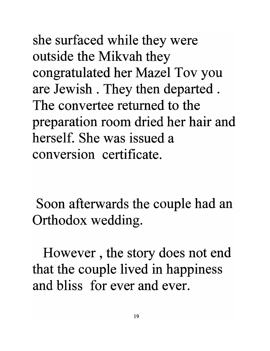she surfaced while they were outside the Mikvah they congratulated her Mazel Tov you are Jewish . They then departed . The convertee returned to the preparation room dried her hair and herself. She was issued a conversion certificate.

Soon afterwards the couple had an Orthodox wedding.

However, the story does not end that the couple lived in happiness and bliss for ever and ever.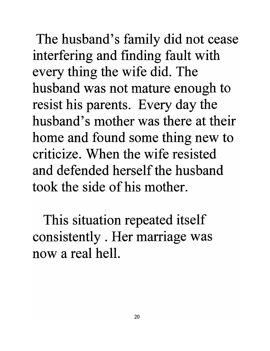The husband's family did not cease interfering and finding fault with every thing the wife did. The husband was not mature enough to resist his parents. Every day the husband's mother was there at their home and found some thing new to criticize. When the wife resisted and defended herself the husband took the side of his mother.

This situation repeated itself consistently . Her marriage was now a real hell.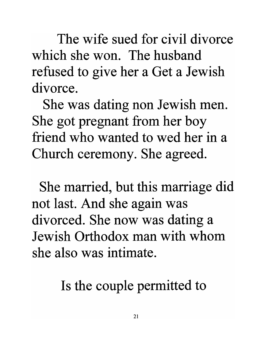The wife sued for civil divorce which she won. The husband refused to give her a Get a Jewish divorce.

She was dating non Jewish men. She got pregnant from her boy friend who wanted to wed her in a Church ceremony. She agreed.

She married, but this marriage did not last. And she again was divorced. She now was dating a Jewish Orthodox man with whom she also was intimate.

Is the couple permitted to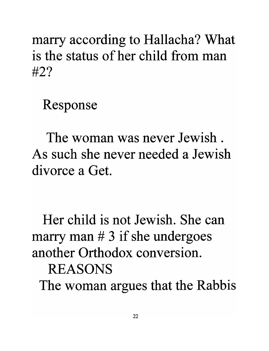marry according to Hallacha? What is the status of her child from man #2?

Response

The woman was never Jewish. As such she never needed a Jewish divorce a Get.

Her child is not Jewish. She can marry man  $# 3$  if she undergoes another Orthodox conversion. REASONS The woman argues that the Rabbis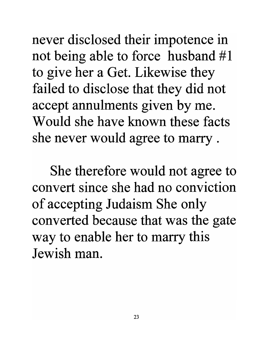never disclosed their impotence in not being able to force husband #1 to give her a Get. Likewise they failed to disclose that they did not accept annulments given by me. Would she have known these facts she never would agree to marry .

She therefore would not agree to convert since she had no conviction of accepting Judaism She only converted because that was the gate way to enable her to marry this Jewish man.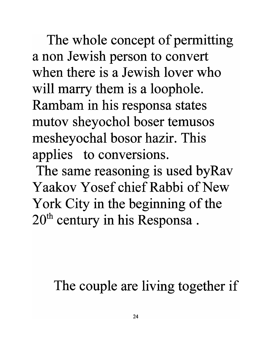The whole concept of permitting a non Jewish person to convert when there is a Jewish lover who will marry them is a loophole. Rambam in his responsa states mutov sheyochol boser temusos mesheyochal bosor hazir. This applies to conversions.

The same reasoning is used byRav Yaakov Yosef chief Rabbi of New York City in the beginning of the 20<sup>th</sup> century in his Responsa.

The couple are living together if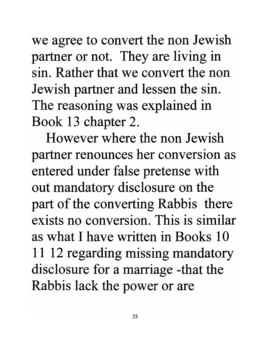we agree to convert the non Jewish partner or not. They are living in sin. Rather that we convert the non Jewish partner and lessen the sin. The reasoning was explained in Book 13 chapter 2.

However where the non Jewish partner renounces her conversion as entered under false pretense with out mandatory disclosure on the part of the converting Rabbis there exists no conversion. This is similar as what I have written in Books 10 **11** 12 regarding missing mandatory disclosure for a marriage -that the Rabbis lack the power or are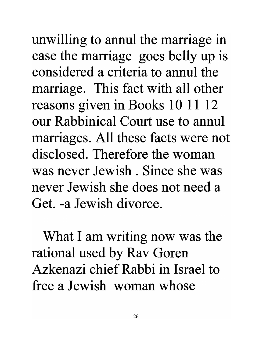unwilling to annul the marriage in case the marriage goes belly up is considered a criteria to annul the marriage. This fact with all other reasons given in Books 10 11 12 our Rabbinical Court use to annul marriages. All these facts were not disclosed. Therefore the woman was never Jewish. Since she was never Jewish she does not need a Get. -a Jewish divorce.

What I am writing now was the rational used by Rav Goren Azkenazi chief Rabbi in Israel to free a Jewish woman whose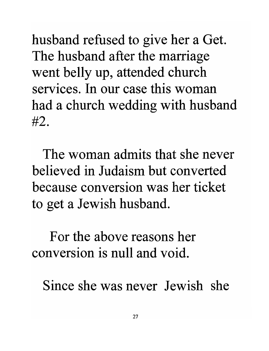husband refused to give her a Get. The husband after the marriage went belly up, attended church services. In our case this woman had a church wedding with husband #2.

The woman admits that she never believed in Judaism but converted because conversion was her ticket to get a Jewish husband.

For the above reasons her conversion is null and void.

Since she was never Jewish she